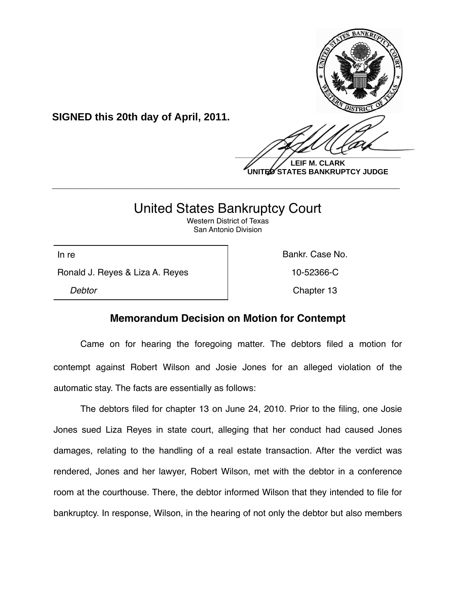

**UNITED STATES BANKRUPTCY JUDGE**

# United States Bankruptcy Court

**\_\_\_\_\_\_\_\_\_\_\_\_\_\_\_\_\_\_\_\_\_\_\_\_\_\_\_\_\_\_\_\_\_\_\_\_\_\_\_\_\_\_\_\_\_\_\_\_\_\_\_\_\_\_\_\_\_\_\_\_**

Western District of Texas San Antonio Division

Ronald J. Reyes & Liza A. Reyes 10-52366-C

**SIGNED this 20th day of April, 2011.**

In re **Bankr.** Case No.

**Debtor** Chapter 13

# **Memorandum Decision on Motion for Contempt**

Came on for hearing the foregoing matter. The debtors filed a motion for contempt against Robert Wilson and Josie Jones for an alleged violation of the automatic stay. The facts are essentially as follows:

The debtors filed for chapter 13 on June 24, 2010. Prior to the filing, one Josie Jones sued Liza Reyes in state court, alleging that her conduct had caused Jones damages, relating to the handling of a real estate transaction. After the verdict was rendered, Jones and her lawyer, Robert Wilson, met with the debtor in a conference room at the courthouse. There, the debtor informed Wilson that they intended to file for bankruptcy. In response, Wilson, in the hearing of not only the debtor but also members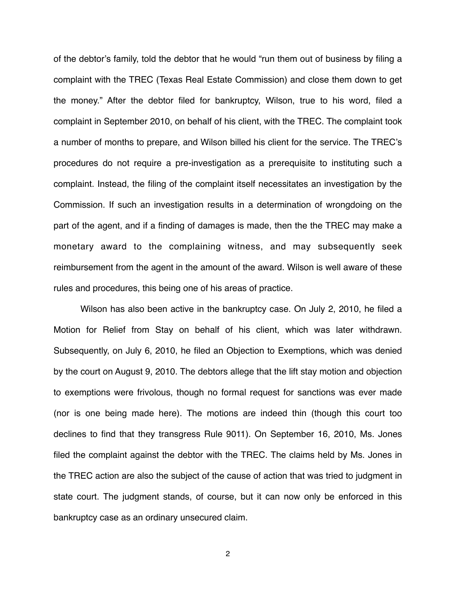of the debtor's family, told the debtor that he would "run them out of business by filing a complaint with the TREC (Texas Real Estate Commission) and close them down to get the money." After the debtor filed for bankruptcy, Wilson, true to his word, filed a complaint in September 2010, on behalf of his client, with the TREC. The complaint took a number of months to prepare, and Wilson billed his client for the service. The TREC's procedures do not require a pre-investigation as a prerequisite to instituting such a complaint. Instead, the filing of the complaint itself necessitates an investigation by the Commission. If such an investigation results in a determination of wrongdoing on the part of the agent, and if a finding of damages is made, then the the TREC may make a monetary award to the complaining witness, and may subsequently seek reimbursement from the agent in the amount of the award. Wilson is well aware of these rules and procedures, this being one of his areas of practice.

Wilson has also been active in the bankruptcy case. On July 2, 2010, he filed a Motion for Relief from Stay on behalf of his client, which was later withdrawn. Subsequently, on July 6, 2010, he filed an Objection to Exemptions, which was denied by the court on August 9, 2010. The debtors allege that the lift stay motion and objection to exemptions were frivolous, though no formal request for sanctions was ever made (nor is one being made here). The motions are indeed thin (though this court too declines to find that they transgress Rule 9011). On September 16, 2010, Ms. Jones filed the complaint against the debtor with the TREC. The claims held by Ms. Jones in the TREC action are also the subject of the cause of action that was tried to judgment in state court. The judgment stands, of course, but it can now only be enforced in this bankruptcy case as an ordinary unsecured claim.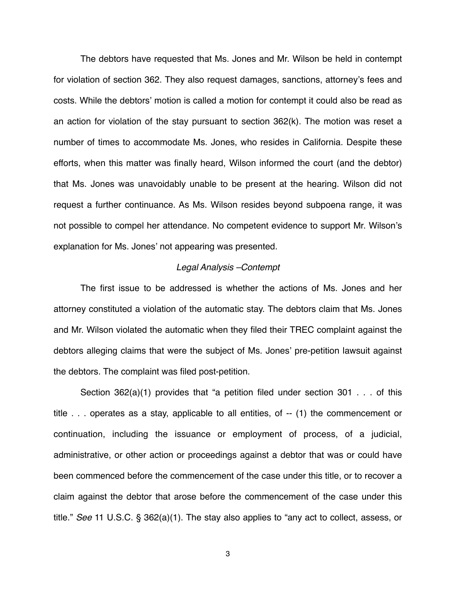The debtors have requested that Ms. Jones and Mr. Wilson be held in contempt for violation of section 362. They also request damages, sanctions, attorney's fees and costs. While the debtors' motion is called a motion for contempt it could also be read as an action for violation of the stay pursuant to section 362(k). The motion was reset a number of times to accommodate Ms. Jones, who resides in California. Despite these efforts, when this matter was finally heard, Wilson informed the court (and the debtor) that Ms. Jones was unavoidably unable to be present at the hearing. Wilson did not request a further continuance. As Ms. Wilson resides beyond subpoena range, it was not possible to compel her attendance. No competent evidence to support Mr. Wilson's explanation for Ms. Jones' not appearing was presented.

## *Legal Analysis –Contempt*

The first issue to be addressed is whether the actions of Ms. Jones and her attorney constituted a violation of the automatic stay. The debtors claim that Ms. Jones and Mr. Wilson violated the automatic when they filed their TREC complaint against the debtors alleging claims that were the subject of Ms. Jones' pre-petition lawsuit against the debtors. The complaint was filed post-petition.

Section 362(a)(1) provides that "a petition filed under section 301 . . . of this title . . . operates as a stay, applicable to all entities, of -- (1) the commencement or continuation, including the issuance or employment of process, of a judicial, administrative, or other action or proceedings against a debtor that was or could have been commenced before the commencement of the case under this title, or to recover a claim against the debtor that arose before the commencement of the case under this title." *See* 11 U.S.C. § 362(a)(1). The stay also applies to "any act to collect, assess, or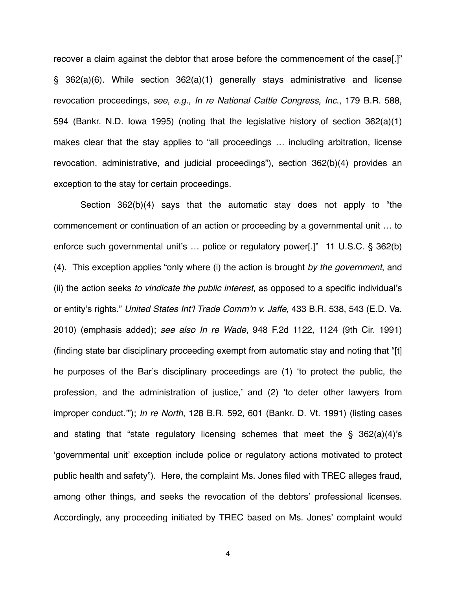recover a claim against the debtor that arose before the commencement of the case[.]" § 362(a)(6). While section 362(a)(1) generally stays administrative and license revocation proceedings, *see, e.g., In re National Cattle Congress, Inc*., 179 B.R. 588, 594 (Bankr. N.D. Iowa 1995) (noting that the legislative history of section 362(a)(1) makes clear that the stay applies to "all proceedings … including arbitration, license revocation, administrative, and judicial proceedings"), section 362(b)(4) provides an exception to the stay for certain proceedings.

Section 362(b)(4) says that the automatic stay does not apply to "the commencement or continuation of an action or proceeding by a governmental unit … to enforce such governmental unit's … police or regulatory power[.]" 11 U.S.C. § 362(b) (4). This exception applies "only where (i) the action is brought *by the government*, and (ii) the action seeks *to vindicate the public interest*, as opposed to a specific individual's or entity's rights." *United States Int*'*l Trade Comm*'*n v. Jaffe*, 433 B.R. 538, 543 (E.D. Va. 2010) (emphasis added); *see also In re Wade*, 948 F.2d 1122, 1124 (9th Cir. 1991) (finding state bar disciplinary proceeding exempt from automatic stay and noting that "[t] he purposes of the Bar's disciplinary proceedings are (1) ʻto protect the public, the profession, and the administration of justice,' and (2) ʻto deter other lawyers from improper conduct.'"); *In re North*, 128 B.R. 592, 601 (Bankr. D. Vt. 1991) (listing cases and stating that "state regulatory licensing schemes that meet the § 362(a)(4)'s ʻgovernmental unit' exception include police or regulatory actions motivated to protect public health and safety"). Here, the complaint Ms. Jones filed with TREC alleges fraud, among other things, and seeks the revocation of the debtors' professional licenses. Accordingly, any proceeding initiated by TREC based on Ms. Jones' complaint would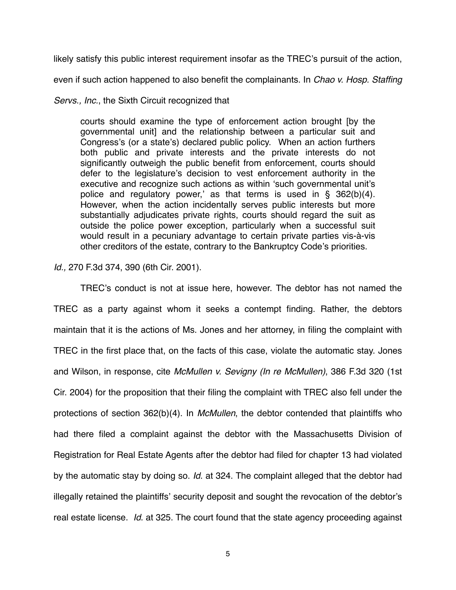likely satisfy this public interest requirement insofar as the TREC's pursuit of the action,

even if such action happened to also benefit the complainants. In *Chao v. Hosp. Staffing* 

*Servs., Inc.*, the Sixth Circuit recognized that

courts should examine the type of enforcement action brought [by the governmental unit] and the relationship between a particular suit and Congress's (or a state's) declared public policy. When an action furthers both public and private interests and the private interests do not significantly outweigh the public benefit from enforcement, courts should defer to the legislature's decision to vest enforcement authority in the executive and recognize such actions as within 'such governmental unit's police and regulatory power,' as that terms is used in § 362(b)(4). However, when the action incidentally serves public interests but more substantially adjudicates private rights, courts should regard the suit as outside the police power exception, particularly when a successful suit would result in a pecuniary advantage to certain private parties vis-à-vis other creditors of the estate, contrary to the Bankruptcy Code's priorities.

*Id.,* 270 F.3d 374, 390 (6th Cir. 2001).

TREC's conduct is not at issue here, however. The debtor has not named the TREC as a party against whom it seeks a contempt finding. Rather, the debtors maintain that it is the actions of Ms. Jones and her attorney, in filing the complaint with TREC in the first place that, on the facts of this case, violate the automatic stay. Jones and Wilson, in response, cite *McMullen v. Sevigny (In re McMullen)*, 386 F.3d 320 (1st Cir. 2004) for the proposition that their filing the complaint with TREC also fell under the protections of section 362(b)(4). In *McMullen*, the debtor contended that plaintiffs who had there filed a complaint against the debtor with the Massachusetts Division of Registration for Real Estate Agents after the debtor had filed for chapter 13 had violated by the automatic stay by doing so. *Id*. at 324. The complaint alleged that the debtor had illegally retained the plaintiffs' security deposit and sought the revocation of the debtor's real estate license. *Id*. at 325. The court found that the state agency proceeding against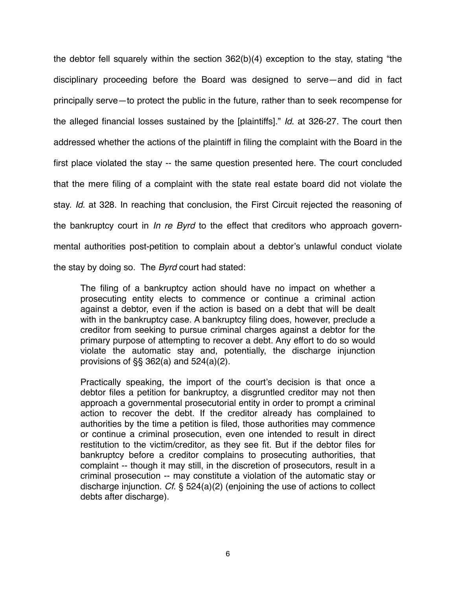the debtor fell squarely within the section 362(b)(4) exception to the stay, stating "the disciplinary proceeding before the Board was designed to serve—and did in fact principally serve—to protect the public in the future, rather than to seek recompense for the alleged financial losses sustained by the [plaintiffs]." *Id*. at 326-27. The court then addressed whether the actions of the plaintiff in filing the complaint with the Board in the first place violated the stay -- the same question presented here. The court concluded that the mere filing of a complaint with the state real estate board did not violate the stay. *Id*. at 328. In reaching that conclusion, the First Circuit rejected the reasoning of the bankruptcy court in *In re Byrd* to the effect that creditors who approach governmental authorities post-petition to complain about a debtor's unlawful conduct violate the stay by doing so. The *Byrd* court had stated:

The filing of a bankruptcy action should have no impact on whether a prosecuting entity elects to commence or continue a criminal action against a debtor, even if the action is based on a debt that will be dealt with in the bankruptcy case. A bankruptcy filing does, however, preclude a creditor from seeking to pursue criminal charges against a debtor for the primary purpose of attempting to recover a debt. Any effort to do so would violate the automatic stay and, potentially, the discharge injunction provisions of §§ 362(a) and 524(a)(2).

Practically speaking, the import of the court's decision is that once a debtor files a petition for bankruptcy, a disgruntled creditor may not then approach a governmental prosecutorial entity in order to prompt a criminal action to recover the debt. If the creditor already has complained to authorities by the time a petition is filed, those authorities may commence or continue a criminal prosecution, even one intended to result in direct restitution to the victim/creditor, as they see fit. But if the debtor files for bankruptcy before a creditor complains to prosecuting authorities, that complaint -- though it may still, in the discretion of prosecutors, result in a criminal prosecution -- may constitute a violation of the automatic stay or discharge injunction. *Cf*. § 524(a)(2) (enjoining the use of actions to collect debts after discharge).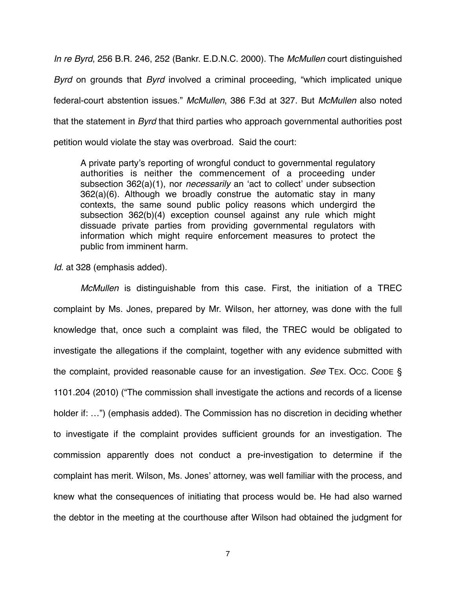*In re Byrd*, 256 B.R. 246, 252 (Bankr. E.D.N.C. 2000). The *McMullen* court distinguished *Byrd* on grounds that *Byrd* involved a criminal proceeding, "which implicated unique federal-court abstention issues." *McMullen*, 386 F.3d at 327. But *McMullen* also noted that the statement in *Byrd* that third parties who approach governmental authorities post petition would violate the stay was overbroad. Said the court:

A private party's reporting of wrongful conduct to governmental regulatory authorities is neither the commencement of a proceeding under subsection 362(a)(1), nor *necessarily* an ʻact to collect' under subsection 362(a)(6). Although we broadly construe the automatic stay in many contexts, the same sound public policy reasons which undergird the subsection 362(b)(4) exception counsel against any rule which might dissuade private parties from providing governmental regulators with information which might require enforcement measures to protect the public from imminent harm.

*Id*. at 328 (emphasis added).

*McMullen* is distinguishable from this case. First, the initiation of a TREC complaint by Ms. Jones, prepared by Mr. Wilson, her attorney, was done with the full knowledge that, once such a complaint was filed, the TREC would be obligated to investigate the allegations if the complaint, together with any evidence submitted with the complaint, provided reasonable cause for an investigation. *See* TEX. OCC. CODE § 1101.204 (2010) ("The commission shall investigate the actions and records of a license holder if: …") (emphasis added). The Commission has no discretion in deciding whether to investigate if the complaint provides sufficient grounds for an investigation. The commission apparently does not conduct a pre-investigation to determine if the complaint has merit. Wilson, Ms. Jones' attorney, was well familiar with the process, and knew what the consequences of initiating that process would be. He had also warned the debtor in the meeting at the courthouse after Wilson had obtained the judgment for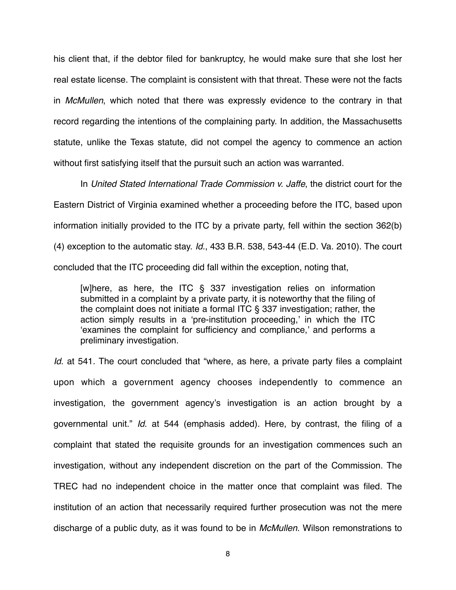his client that, if the debtor filed for bankruptcy, he would make sure that she lost her real estate license. The complaint is consistent with that threat. These were not the facts in *McMullen*, which noted that there was expressly evidence to the contrary in that record regarding the intentions of the complaining party. In addition, the Massachusetts statute, unlike the Texas statute, did not compel the agency to commence an action without first satisfying itself that the pursuit such an action was warranted.

In *United Stated International Trade Commission v. Jaffe*, the district court for the Eastern District of Virginia examined whether a proceeding before the ITC, based upon information initially provided to the ITC by a private party, fell within the section 362(b) (4) exception to the automatic stay. *Id.*, 433 B.R. 538, 543-44 (E.D. Va. 2010). The court concluded that the ITC proceeding did fall within the exception, noting that,

[w]here, as here, the ITC § 337 investigation relies on information submitted in a complaint by a private party, it is noteworthy that the filing of the complaint does not initiate a formal ITC § 337 investigation; rather, the action simply results in a ʻpre-institution proceeding,' in which the ITC ʻexamines the complaint for sufficiency and compliance,' and performs a preliminary investigation.

*Id.* at 541. The court concluded that "where, as here, a private party files a complaint upon which a government agency chooses independently to commence an investigation, the government agency's investigation is an action brought by a governmental unit." *Id*. at 544 (emphasis added). Here, by contrast, the filing of a complaint that stated the requisite grounds for an investigation commences such an investigation, without any independent discretion on the part of the Commission. The TREC had no independent choice in the matter once that complaint was filed. The institution of an action that necessarily required further prosecution was not the mere discharge of a public duty, as it was found to be in *McMullen.* Wilson remonstrations to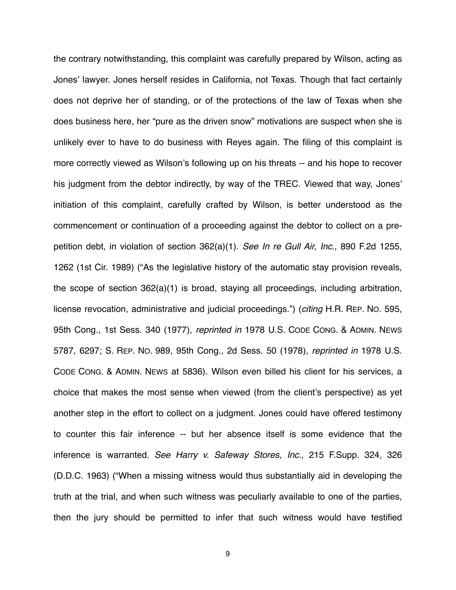the contrary notwithstanding, this complaint was carefully prepared by Wilson, acting as Jones' lawyer. Jones herself resides in California, not Texas. Though that fact certainly does not deprive her of standing, or of the protections of the law of Texas when she does business here, her "pure as the driven snow" motivations are suspect when she is unlikely ever to have to do business with Reyes again. The filing of this complaint is more correctly viewed as Wilson's following up on his threats -- and his hope to recover his judgment from the debtor indirectly, by way of the TREC. Viewed that way, Jones' initiation of this complaint, carefully crafted by Wilson, is better understood as the commencement or continuation of a proceeding against the debtor to collect on a prepetition debt, in violation of section 362(a)(1). *See In re Gull Air, Inc*., 890 F.2d 1255, 1262 (1st Cir. 1989) ("As the legislative history of the automatic stay provision reveals, the scope of section 362(a)(1) is broad, staying all proceedings, including arbitration, license revocation, administrative and judicial proceedings.") (*citing* H.R. REP. NO. 595, 95th Cong., 1st Sess. 340 (1977), *reprinted in* 1978 U.S. CODE CONG. & ADMIN. NEWS 5787, 6297; S. REP. NO. 989, 95th Cong., 2d Sess. 50 (1978), *reprinted in* 1978 U.S. CODE CONG. & ADMIN. NEWS at 5836). Wilson even billed his client for his services, a choice that makes the most sense when viewed (from the client's perspective) as yet another step in the effort to collect on a judgment. Jones could have offered testimony to counter this fair inference -- but her absence itself is some evidence that the inference is warranted. *See Harry v. Safeway Stores, Inc.*, 215 F.Supp. 324, 326 (D.D.C. 1963) ("When a missing witness would thus substantially aid in developing the truth at the trial, and when such witness was peculiarly available to one of the parties, then the jury should be permitted to infer that such witness would have testified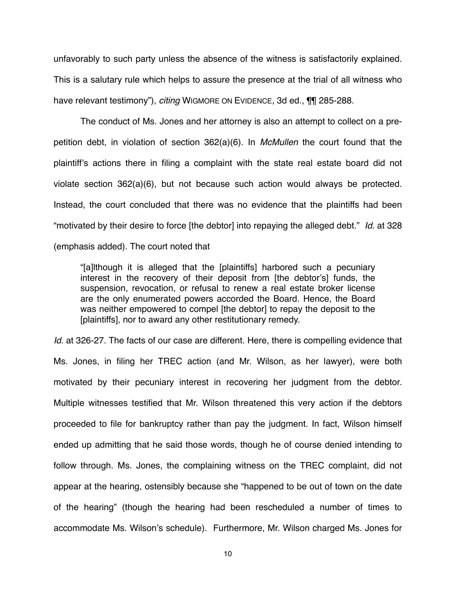unfavorably to such party unless the absence of the witness is satisfactorily explained. This is a salutary rule which helps to assure the presence at the trial of all witness who have relevant testimony"), *citing* WIGMORE ON EVIDENCE, 3d ed., ¶¶ 285-288.

The conduct of Ms. Jones and her attorney is also an attempt to collect on a prepetition debt, in violation of section 362(a)(6). In *McMullen* the court found that the plaintiff's actions there in filing a complaint with the state real estate board did not violate section 362(a)(6), but not because such action would always be protected. Instead, the court concluded that there was no evidence that the plaintiffs had been "motivated by their desire to force [the debtor] into repaying the alleged debt." *Id*. at 328 (emphasis added). The court noted that

"[a]lthough it is alleged that the [plaintiffs] harbored such a pecuniary interest in the recovery of their deposit from [the debtor's] funds, the suspension, revocation, or refusal to renew a real estate broker license are the only enumerated powers accorded the Board. Hence, the Board was neither empowered to compel [the debtor] to repay the deposit to the [plaintiffs], nor to award any other restitutionary remedy.

*Id.* at 326-27. The facts of our case are different. Here, there is compelling evidence that Ms. Jones, in filing her TREC action (and Mr. Wilson, as her lawyer), were both motivated by their pecuniary interest in recovering her judgment from the debtor. Multiple witnesses testified that Mr. Wilson threatened this very action if the debtors proceeded to file for bankruptcy rather than pay the judgment. In fact, Wilson himself ended up admitting that he said those words, though he of course denied intending to follow through. Ms. Jones, the complaining witness on the TREC complaint, did not appear at the hearing, ostensibly because she "happened to be out of town on the date of the hearing" (though the hearing had been rescheduled a number of times to accommodate Ms. Wilson's schedule). Furthermore, Mr. Wilson charged Ms. Jones for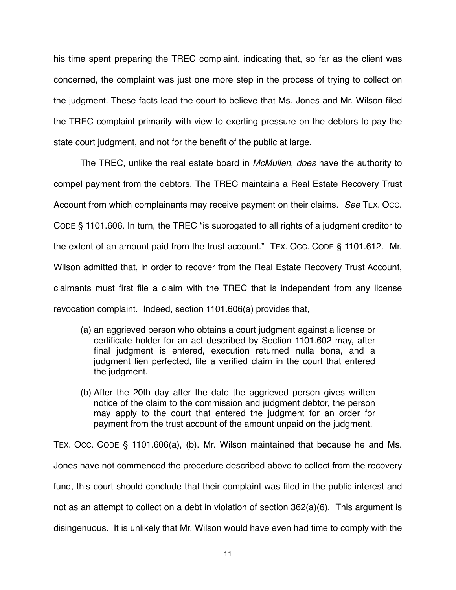his time spent preparing the TREC complaint, indicating that, so far as the client was concerned, the complaint was just one more step in the process of trying to collect on the judgment. These facts lead the court to believe that Ms. Jones and Mr. Wilson filed the TREC complaint primarily with view to exerting pressure on the debtors to pay the state court judgment, and not for the benefit of the public at large.

The TREC, unlike the real estate board in *McMullen*, *does* have the authority to compel payment from the debtors. The TREC maintains a Real Estate Recovery Trust Account from which complainants may receive payment on their claims. *See* TEX. OCC. CODE § 1101.606. In turn, the TREC "is subrogated to all rights of a judgment creditor to the extent of an amount paid from the trust account." TEX. OCC. CODE § 1101.612. Mr. Wilson admitted that, in order to recover from the Real Estate Recovery Trust Account, claimants must first file a claim with the TREC that is independent from any license revocation complaint. Indeed, section 1101.606(a) provides that,

- (a) an aggrieved person who obtains a court judgment against a license or certificate holder for an act described by Section 1101.602 may, after final judgment is entered, execution returned nulla bona, and a judgment lien perfected, file a verified claim in the court that entered the judgment.
- (b) After the 20th day after the date the aggrieved person gives written notice of the claim to the commission and judgment debtor, the person may apply to the court that entered the judgment for an order for payment from the trust account of the amount unpaid on the judgment.

TEX. OCC. CODE § 1101.606(a), (b). Mr. Wilson maintained that because he and Ms. Jones have not commenced the procedure described above to collect from the recovery fund, this court should conclude that their complaint was filed in the public interest and not as an attempt to collect on a debt in violation of section 362(a)(6). This argument is disingenuous. It is unlikely that Mr. Wilson would have even had time to comply with the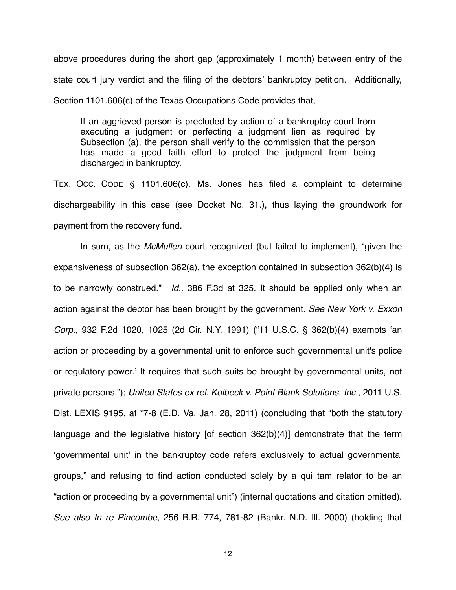above procedures during the short gap (approximately 1 month) between entry of the state court jury verdict and the filing of the debtors' bankruptcy petition. Additionally, Section 1101.606(c) of the Texas Occupations Code provides that,

If an aggrieved person is precluded by action of a bankruptcy court from executing a judgment or perfecting a judgment lien as required by Subsection (a), the person shall verify to the commission that the person has made a good faith effort to protect the judgment from being discharged in bankruptcy.

TEX. OCC. CODE § 1101.606(c). Ms. Jones has filed a complaint to determine dischargeability in this case (see Docket No. 31.), thus laying the groundwork for payment from the recovery fund.

In sum, as the *McMullen* court recognized (but failed to implement), "given the expansiveness of subsection 362(a), the exception contained in subsection 362(b)(4) is to be narrowly construed." *Id.,* 386 F.3d at 325. It should be applied only when an action against the debtor has been brought by the government. *See New York v. Exxon Corp.*, 932 F.2d 1020, 1025 (2d Cir. N.Y. 1991) ("11 U.S.C. § 362(b)(4) exempts ʻan action or proceeding by a governmental unit to enforce such governmental unit's police or regulatory power.' It requires that such suits be brought by governmental units, not private persons."); *United States ex rel. Kolbeck v. Point Blank Solutions, Inc.*, 2011 U.S. Dist. LEXIS 9195, at \*7-8 (E.D. Va. Jan. 28, 2011) (concluding that "both the statutory language and the legislative history [of section 362(b)(4)] demonstrate that the term ʻgovernmental unit' in the bankruptcy code refers exclusively to actual governmental groups," and refusing to find action conducted solely by a qui tam relator to be an "action or proceeding by a governmental unit") (internal quotations and citation omitted). *See also In re Pincombe*, 256 B.R. 774, 781-82 (Bankr. N.D. Ill. 2000) (holding that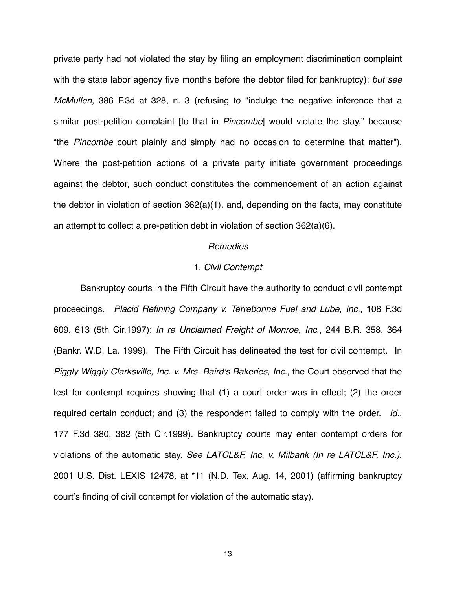private party had not violated the stay by filing an employment discrimination complaint with the state labor agency five months before the debtor filed for bankruptcy); *but see McMullen*, 386 F.3d at 328, n. 3 (refusing to "indulge the negative inference that a similar post-petition complaint [to that in *Pincombe*] would violate the stay," because "the *Pincombe* court plainly and simply had no occasion to determine that matter"). Where the post-petition actions of a private party initiate government proceedings against the debtor, such conduct constitutes the commencement of an action against the debtor in violation of section 362(a)(1), and, depending on the facts, may constitute an attempt to collect a pre-petition debt in violation of section 362(a)(6).

### *Remedies*

#### 1. *Civil Contempt*

Bankruptcy courts in the Fifth Circuit have the authority to conduct civil contempt proceedings. *Placid Refining Company v. Terrebonne Fuel and Lube, Inc.*, 108 F.3d 609, 613 (5th Cir.1997); *In re Unclaimed Freight of Monroe, Inc*., 244 B.R. 358, 364 (Bankr. W.D. La. 1999). The Fifth Circuit has delineated the test for civil contempt. In *Piggly Wiggly Clarksville, Inc. v. Mrs. Baird's Bakeries, Inc.*, the Court observed that the test for contempt requires showing that (1) a court order was in effect; (2) the order required certain conduct; and (3) the respondent failed to comply with the order. *Id.,*  177 F.3d 380, 382 (5th Cir.1999). Bankruptcy courts may enter contempt orders for violations of the automatic stay. *See LATCL&F, Inc. v. Milbank (In re LATCL&F, Inc.)*, 2001 U.S. Dist. LEXIS 12478, at \*11 (N.D. Tex. Aug. 14, 2001) (affirming bankruptcy court's finding of civil contempt for violation of the automatic stay).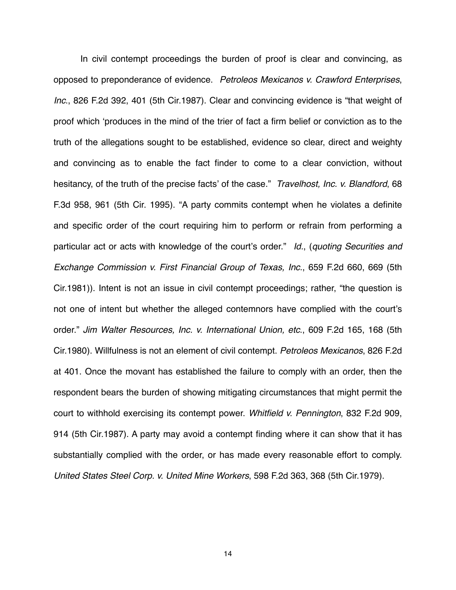In civil contempt proceedings the burden of proof is clear and convincing, as opposed to preponderance of evidence. *Petroleos Mexicanos v. Crawford Enterprises*, *Inc*., 826 F.2d 392, 401 (5th Cir.1987). Clear and convincing evidence is "that weight of proof which ʻproduces in the mind of the trier of fact a firm belief or conviction as to the truth of the allegations sought to be established, evidence so clear, direct and weighty and convincing as to enable the fact finder to come to a clear conviction, without hesitancy, of the truth of the precise facts' of the case." *Travelhost, Inc. v. Blandford*, 68 F.3d 958, 961 (5th Cir. 1995). "A party commits contempt when he violates a definite and specific order of the court requiring him to perform or refrain from performing a particular act or acts with knowledge of the court's order." *Id.*, (*quoting Securities and Exchange Commission v. First Financial Group of Texas, Inc*., 659 F.2d 660, 669 (5th Cir.1981)). Intent is not an issue in civil contempt proceedings; rather, "the question is not one of intent but whether the alleged contemnors have complied with the court's order." *Jim Walter Resources, Inc. v. International Union, etc*., 609 F.2d 165, 168 (5th Cir.1980). Willfulness is not an element of civil contempt. *Petroleos Mexicanos*, 826 F.2d at 401. Once the movant has established the failure to comply with an order, then the respondent bears the burden of showing mitigating circumstances that might permit the court to withhold exercising its contempt power. *Whitfield v. Pennington*, 832 F.2d 909, 914 (5th Cir.1987). A party may avoid a contempt finding where it can show that it has substantially complied with the order, or has made every reasonable effort to comply. *United States Steel Corp. v. United Mine Workers*, 598 F.2d 363, 368 (5th Cir.1979).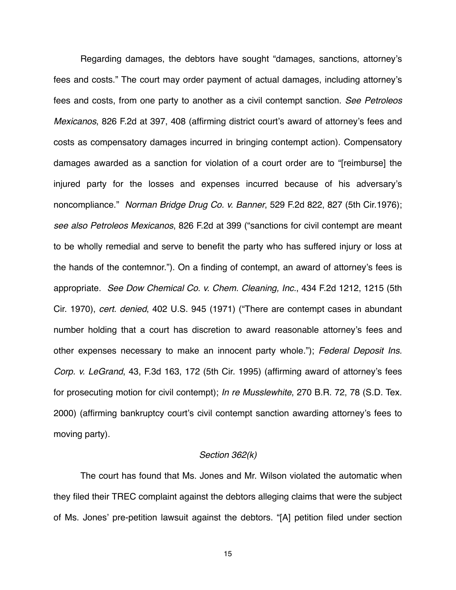Regarding damages, the debtors have sought "damages, sanctions, attorney's fees and costs." The court may order payment of actual damages, including attorney's fees and costs, from one party to another as a civil contempt sanction. *See Petroleos Mexicanos*, 826 F.2d at 397, 408 (affirming district court's award of attorney's fees and costs as compensatory damages incurred in bringing contempt action). Compensatory damages awarded as a sanction for violation of a court order are to "[reimburse] the injured party for the losses and expenses incurred because of his adversary's noncompliance." *Norman Bridge Drug Co. v. Banner*, 529 F.2d 822, 827 (5th Cir.1976); *see also Petroleos Mexicanos*, 826 F.2d at 399 ("sanctions for civil contempt are meant to be wholly remedial and serve to benefit the party who has suffered injury or loss at the hands of the contemnor."). On a finding of contempt, an award of attorney's fees is appropriate. *See Dow Chemical Co. v. Chem. Cleaning, Inc.*, 434 F.2d 1212, 1215 (5th Cir. 1970), *cert. denied*, 402 U.S. 945 (1971) ("There are contempt cases in abundant number holding that a court has discretion to award reasonable attorney's fees and other expenses necessary to make an innocent party whole."); *Federal Deposit Ins. Corp. v. LeGrand*, 43, F.3d 163, 172 (5th Cir. 1995) (affirming award of attorney's fees for prosecuting motion for civil contempt); *In re Musslewhite*, 270 B.R. 72, 78 (S.D. Tex. 2000) (affirming bankruptcy court's civil contempt sanction awarding attorney's fees to moving party).

## *Section 362(k)*

The court has found that Ms. Jones and Mr. Wilson violated the automatic when they filed their TREC complaint against the debtors alleging claims that were the subject of Ms. Jones' pre-petition lawsuit against the debtors. "[A] petition filed under section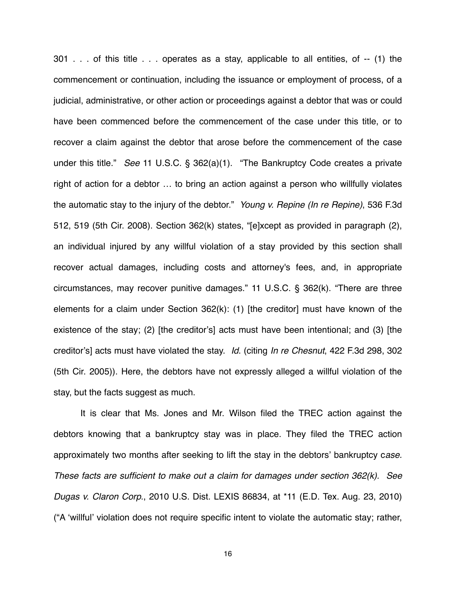301 . . . of this title . . . operates as a stay, applicable to all entities, of -- (1) the commencement or continuation, including the issuance or employment of process, of a judicial, administrative, or other action or proceedings against a debtor that was or could have been commenced before the commencement of the case under this title, or to recover a claim against the debtor that arose before the commencement of the case under this title." *See* 11 U.S.C. § 362(a)(1). "The Bankruptcy Code creates a private right of action for a debtor … to bring an action against a person who willfully violates the automatic stay to the injury of the debtor." *Young v. Repine (In re Repine)*, 536 F.3d 512, 519 (5th Cir. 2008). Section 362(k) states, "[e]xcept as provided in paragraph (2), an individual injured by any willful violation of a stay provided by this section shall recover actual damages, including costs and attorney's fees, and, in appropriate circumstances, may recover punitive damages." 11 U.S.C. § 362(k). "There are three elements for a claim under Section 362(k): (1) [the creditor] must have known of the existence of the stay; (2) [the creditor's] acts must have been intentional; and (3) [the creditor's] acts must have violated the stay. *Id*. (citing *In re Chesnut*, 422 F.3d 298, 302 (5th Cir. 2005)). Here, the debtors have not expressly alleged a willful violation of the stay, but the facts suggest as much.

It is clear that Ms. Jones and Mr. Wilson filed the TREC action against the debtors knowing that a bankruptcy stay was in place. They filed the TREC action approximately two months after seeking to lift the stay in the debtors' bankruptcy c*ase. These facts are sufficient to make out a claim for damages under section 362(k). See Dugas v. Claron Corp*., 2010 U.S. Dist. LEXIS 86834, at \*11 (E.D. Tex. Aug. 23, 2010) ("A ʻwillful' violation does not require specific intent to violate the automatic stay; rather,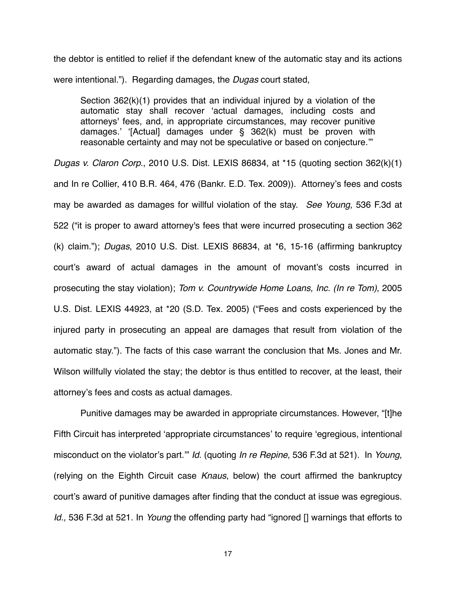the debtor is entitled to relief if the defendant knew of the automatic stay and its actions were intentional."). Regarding damages, the *Dugas* court stated,

Section 362(k)(1) provides that an individual injured by a violation of the automatic stay shall recover ʻactual damages, including costs and attorneys' fees, and, in appropriate circumstances, may recover punitive damages.' ʻ[Actual] damages under § 362(k) must be proven with reasonable certainty and may not be speculative or based on conjecture.'"

*Dugas v. Claron Corp*., 2010 U.S. Dist. LEXIS 86834, at \*15 (quoting section 362(k)(1) and In re Collier, 410 B.R. 464, 476 (Bankr. E.D. Tex. 2009)). Attorney's fees and costs may be awarded as damages for willful violation of the stay. *See Young*, 536 F.3d at 522 ("it is proper to award attorney's fees that were incurred prosecuting a section 362 (k) claim."); *Dugas*, 2010 U.S. Dist. LEXIS 86834, at \*6, 15-16 (affirming bankruptcy court's award of actual damages in the amount of movant's costs incurred in prosecuting the stay violation); *Tom v. Countrywide Home Loans, Inc. (In re Tom)*, 2005 U.S. Dist. LEXIS 44923, at \*20 (S.D. Tex. 2005) ("Fees and costs experienced by the injured party in prosecuting an appeal are damages that result from violation of the automatic stay."). The facts of this case warrant the conclusion that Ms. Jones and Mr. Wilson willfully violated the stay; the debtor is thus entitled to recover, at the least, their attorney's fees and costs as actual damages.

Punitive damages may be awarded in appropriate circumstances. However, "[t]he Fifth Circuit has interpreted ʻappropriate circumstances' to require ʻegregious, intentional misconduct on the violator's part.'" *Id*. (quoting *In re Repine*, 536 F.3d at 521). In *Young*, (relying on the Eighth Circuit case *Knaus*, below) the court affirmed the bankruptcy court's award of punitive damages after finding that the conduct at issue was egregious. *Id.,* 536 F.3d at 521. In *Young* the offending party had "ignored [] warnings that efforts to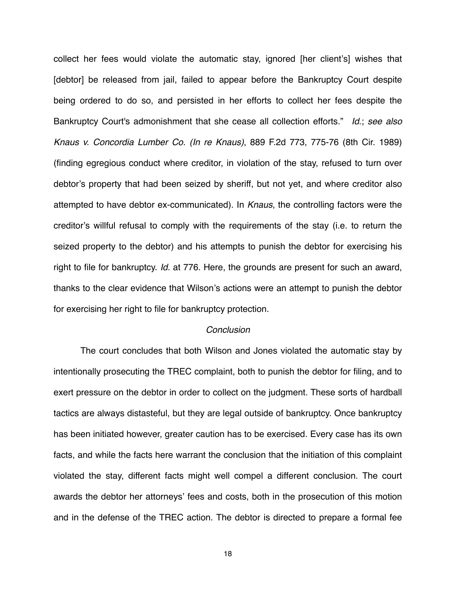collect her fees would violate the automatic stay, ignored [her client's] wishes that [debtor] be released from jail, failed to appear before the Bankruptcy Court despite being ordered to do so, and persisted in her efforts to collect her fees despite the Bankruptcy Court's admonishment that she cease all collection efforts." *Id*.; *see also Knaus v. Concordia Lumber Co. (In re Knaus)*, 889 F.2d 773, 775-76 (8th Cir. 1989) (finding egregious conduct where creditor, in violation of the stay, refused to turn over debtor's property that had been seized by sheriff, but not yet, and where creditor also attempted to have debtor ex-communicated). In *Knaus*, the controlling factors were the creditor's willful refusal to comply with the requirements of the stay (i.e. to return the seized property to the debtor) and his attempts to punish the debtor for exercising his right to file for bankruptcy. *Id*. at 776. Here, the grounds are present for such an award, thanks to the clear evidence that Wilson's actions were an attempt to punish the debtor for exercising her right to file for bankruptcy protection.

#### *Conclusion*

The court concludes that both Wilson and Jones violated the automatic stay by intentionally prosecuting the TREC complaint, both to punish the debtor for filing, and to exert pressure on the debtor in order to collect on the judgment. These sorts of hardball tactics are always distasteful, but they are legal outside of bankruptcy. Once bankruptcy has been initiated however, greater caution has to be exercised. Every case has its own facts, and while the facts here warrant the conclusion that the initiation of this complaint violated the stay, different facts might well compel a different conclusion. The court awards the debtor her attorneys' fees and costs, both in the prosecution of this motion and in the defense of the TREC action. The debtor is directed to prepare a formal fee